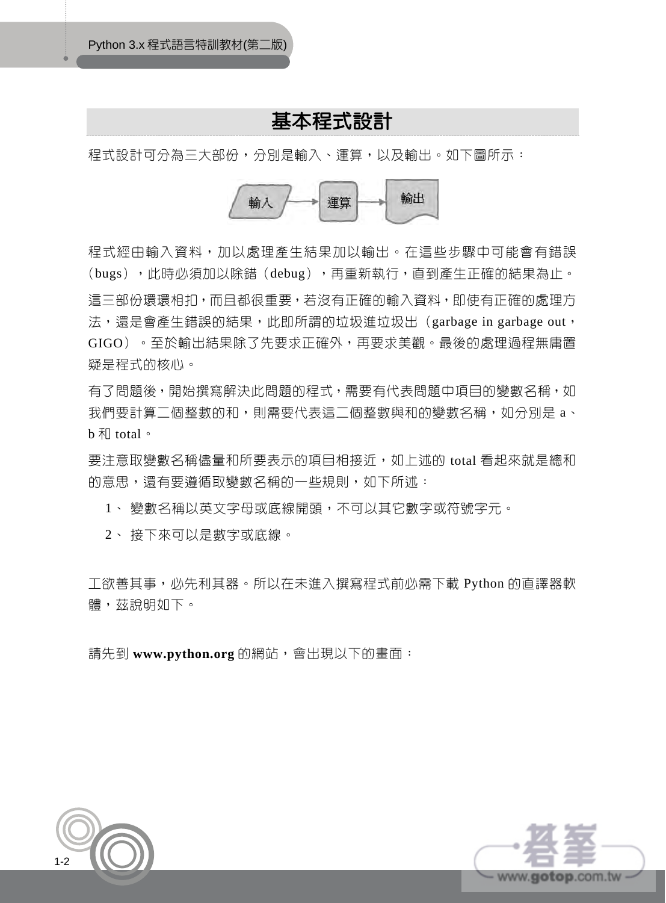# 基本程式設計

程式設計可分為三大部份,分別是輸入、運算,以及輸出。如下圖所示:



程式經由輸入資料,加以處理產生結果加以輸出。在這些步驟中可能會有錯誤 (bugs),此時必須加以除錯(debug),再重新執行,直到產生正確的結果為止。 這三部份環環相扣,而且都很重要,若沒有正確的輸入資料,即使有正確的處理方 法,還是會產生錯誤的結果,此即所謂的垃圾進垃圾出(garbage in garbage out, GIGO)。至於輸出結果除了先要求正確外,再要求美觀。最後的處理過程無庸置 疑是程式的核心。

有了問題後,開始撰寫解決此問題的程式,需要有代表問題中項目的變數名稱,如 我們要計算二個整數的和,則需要代表這二個整數與和的變數名稱,如分別是 a、 b  $\bar{x}$  total  $\circ$ 

要注意取變數名稱儘量和所要表示的項目相接近,如上述的 total 看起來就是總和 的意思,還有要遵循取變數名稱的一些規則,如下所述:

1、 變數名稱以英文字母或底線開頭,不可以其它數字或符號字元。

2、 接下來可以是數字或底線。

工欲善其事,必先利其器。所以在未進入撰寫程式前必需下載 Python 的直譯器軟 體,茲說明如下。

請先到 www.python.org 的網站,會出現以下的畫面:



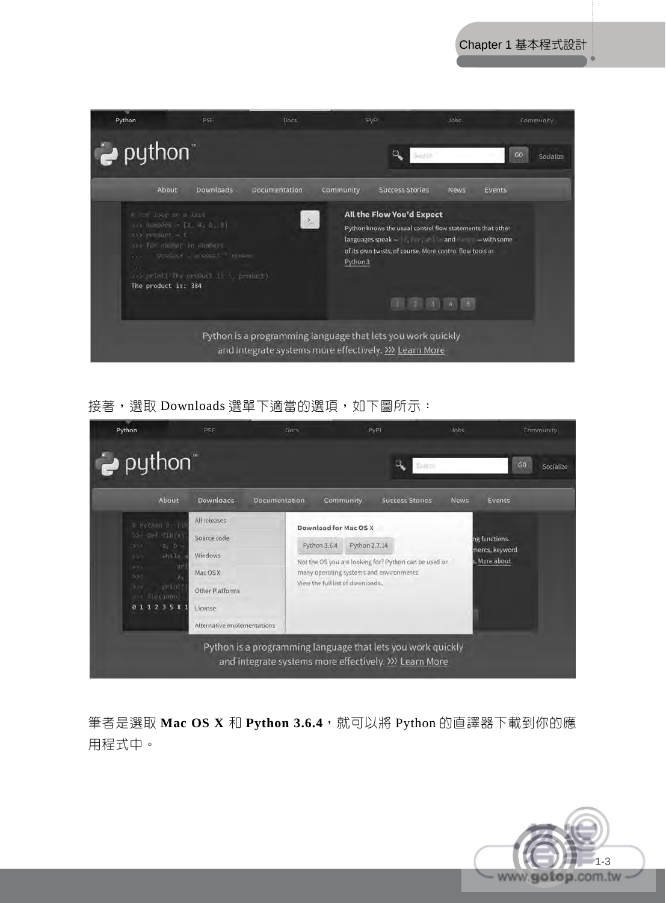

接著,選取 Downloads 選單下適當的選項, 如下圖所示:



筆者是選取 Mac OS X 和 Python 3.6.4,就可以將 Python 的直譯器下載到你的應 用程式中。

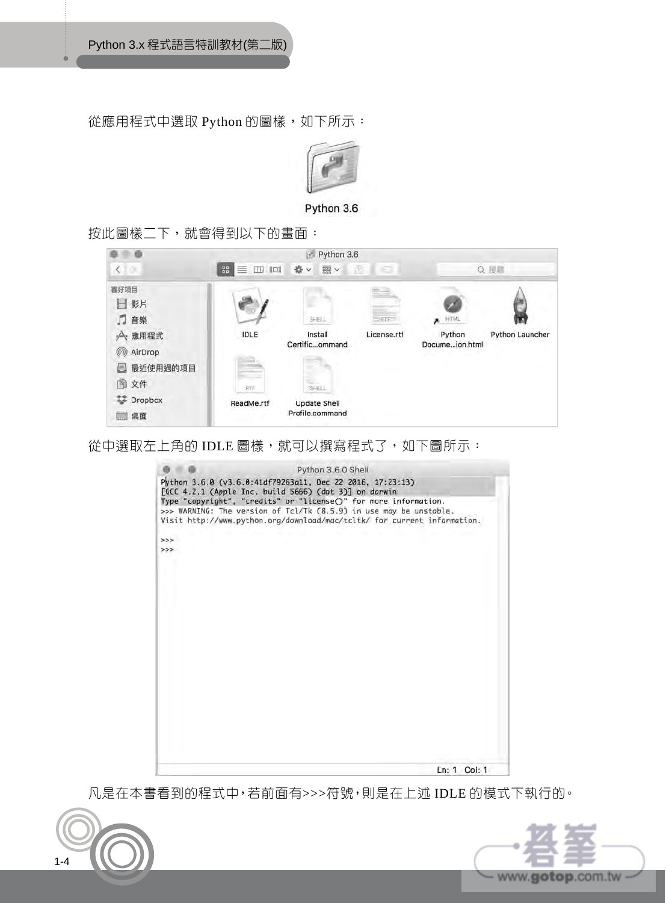從應用程式中選取 Python 的圖樣, 如下所示:



Python 3.6

按此圖樣二下,就會得到以下的畫面:



從中選取左上角的 IDLE 圖樣,就可以撰寫程式了,如下圖所示:



凡是在本書看到的程式中,若前面有>>>符號,則是在上述 IDLE 的模式下執行的。



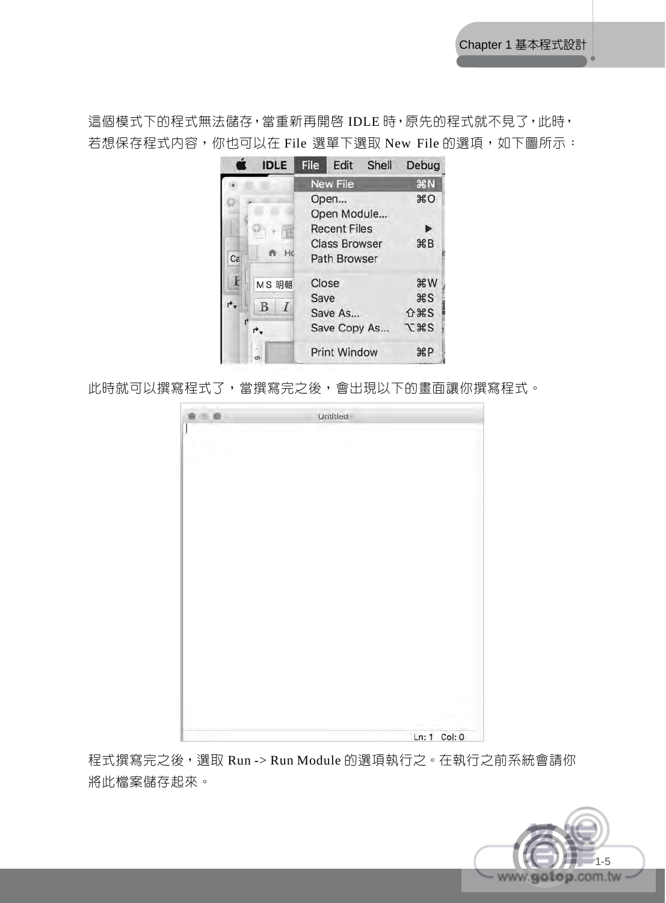這個模式下的程式無法儲存,當重新再開啓 IDLE 時,原先的程式就不見了,此時, 若想保存程式内容,你也可以在 File 選單下選取 New File 的選項, 如下圖所示:



此時就可以撰寫程式了,當撰寫完之後,會出現以下的畫面讓你撰寫程式。

| Untitled |              |
|----------|--------------|
|          |              |
|          |              |
|          |              |
|          |              |
|          |              |
|          |              |
|          |              |
|          |              |
|          |              |
|          |              |
|          |              |
|          |              |
|          |              |
|          |              |
|          |              |
|          |              |
|          |              |
|          |              |
|          |              |
|          |              |
|          |              |
|          |              |
|          |              |
|          |              |
|          |              |
|          |              |
|          | Ln: 1 Col: 0 |

程式撰寫完之後,選取 Run -> Run Module 的選項執行之。在執行之前系統會請你 將此檔案儲存起來。

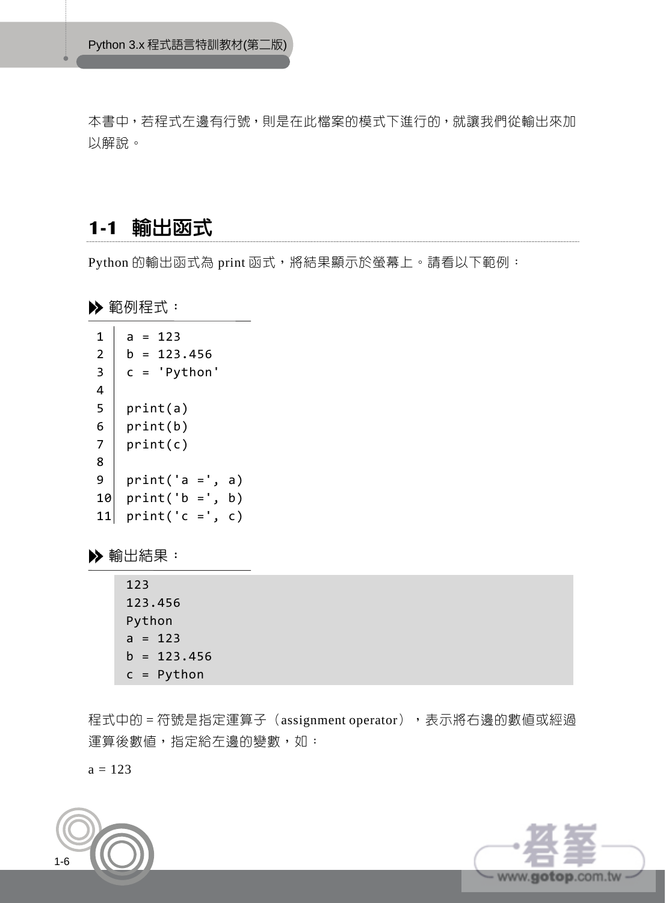本書中,若程式左邊有行號,則是在此檔案的模式下進行的,就讓我們從輸出來加 以解說。

### **1-1** 輸出函式

Python 的輸出函式為 print 函式,將結果顯示於螢幕上。請看以下範例:

▶ 範例程式:



輸出結果:

123 123.456 Python  $a = 123$  $b = 123.456$ c = Python

程式中的 = 符號是指定運算子 (assignment operator), 表示將右邊的數值或經過 運算後數值,指定給左邊的變數,如:

 $a = 123$ 



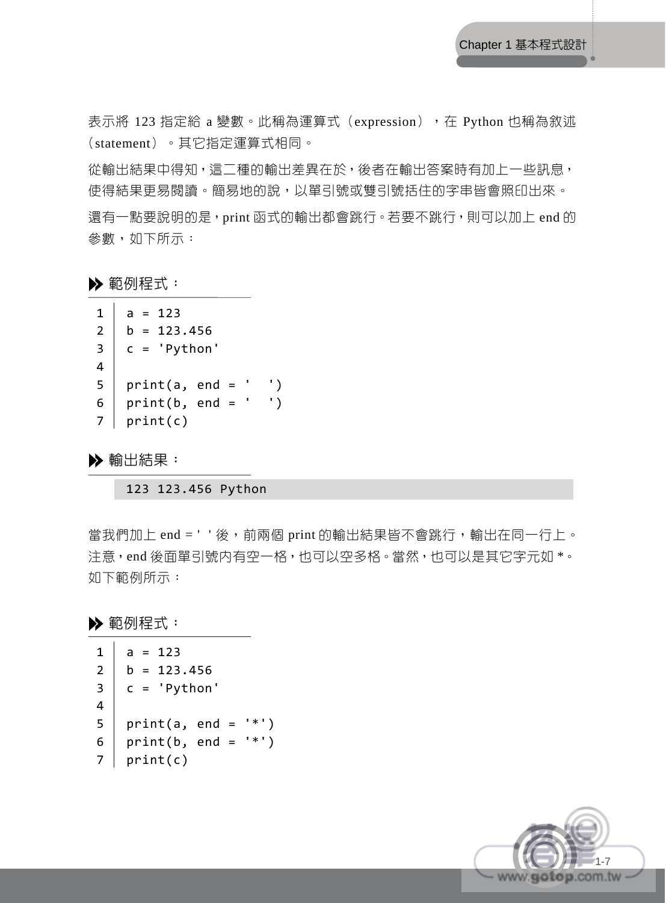表示將 123 指定給 a 變數。此稱為運算式 (expression), 在 Python 也稱為敘述 (statement)。其它指定運算式相同。

從輸出結果中得知,這二種的輸出差異在於,後者在輸出答案時有加上一些訊息, 使得結果更易閱讀。簡易地的說,以單引號或雙引號括住的字串皆會照印出來。 還有一點要說明的是, print 函式的輸出都會跳行。若要不跳行, 則可以加上 end 的 參數,如下所示:

▶ 範例程式:

```
1 
2 
3 
4 
5 
6 
7 
   a = 123b = 123.456c = 'Python' 
   print(a, end = ' ')
   print(b, end = ' '')print(c)
```
輸出結果:

123 123.456 Python

當我們加上 end = ' ' 後,前兩個 print 的輸出結果皆不會跳行,輸出在同一行上。 注意,end 後面單引號內有空一格,也可以空多格。當然,也可以是其它字元如 \*。 如下範例所示:

範例程式:

```
1 
2 
3 
4 
5 
6 
7 
print(c) a = 123b = 123.456c = 'Python' 
  print(a, end = '*') 
  print(b, end = '*')
```
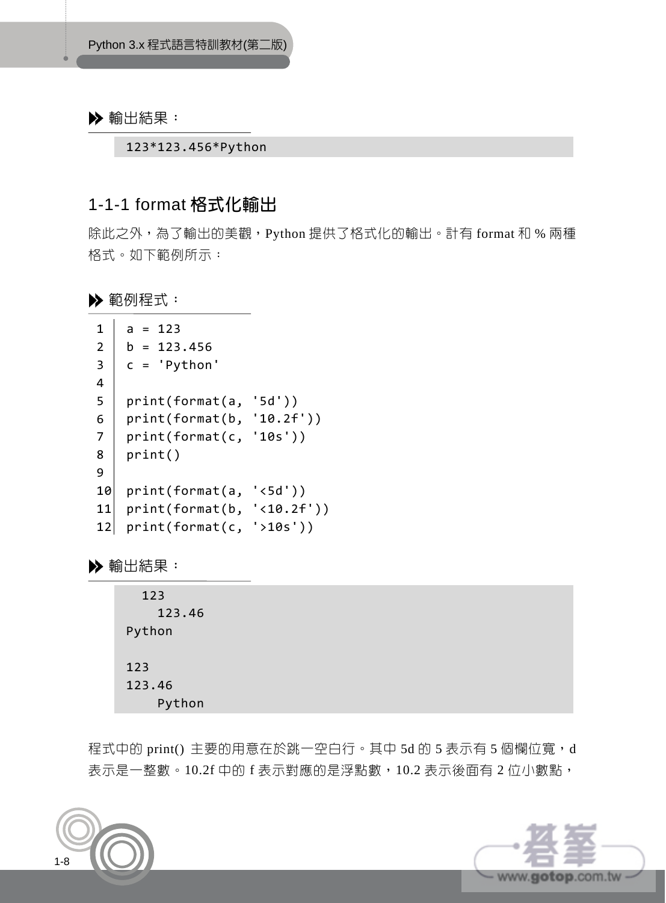123\*123.456\*Python

### 1-1-1 format 格式化輸出

除此之外,為了輸出的美觀,Python 提供了格式化的輸出。計有 format 和 % 兩種 格式。如下範例所示:

▶ 範例程式:

```
1 
2 
3 
4 
5 
6 
7 
8 
9 
10 
print(format(a, '<5d')) 
11 
print(format(b, '<10.2f')) 
12 
print(format(c, '>10s')) 
   a = 123b = 123.456c = 'Python' 
   print(format(a, '5d')) 
   print(format(b, '10.2f')) 
   print(format(c, '10s')) 
   print()
```
輸出結果:

| 123    |
|--------|
| 123.46 |
| Python |
| 123    |
| 123.46 |
| Python |

程式中的 print() 主要的用意在於跳一空白行。其中 5d 的 5 表示有 5 個欄位寬, d 表示是一整數。10.2f 中的 f 表示對應的是浮點數, 10.2 表示後面有 2 位小數點,



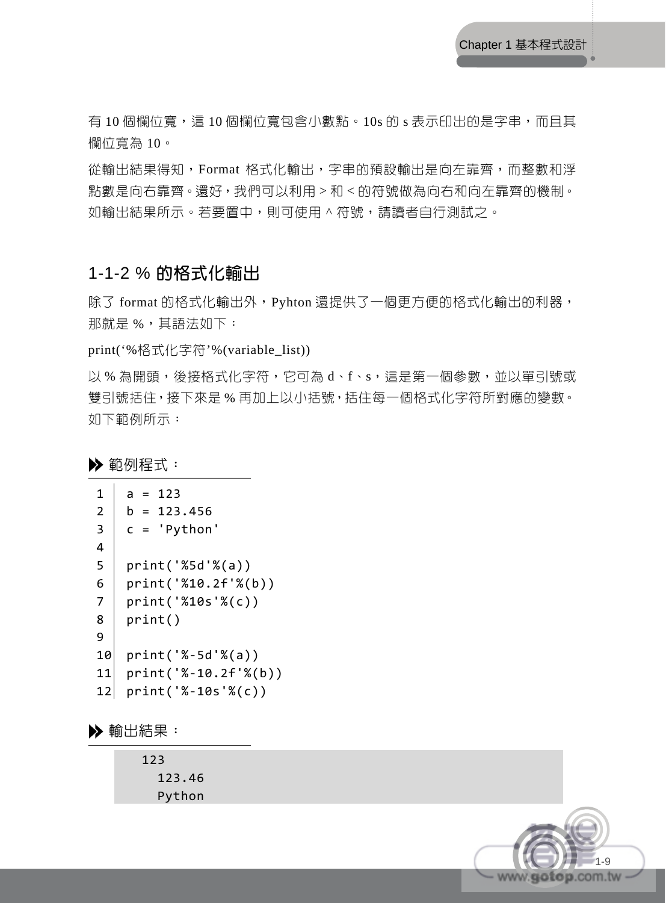有 10 個欄位寬,這 10 個欄位寬包含小數點。10s 的 s 表示印出的是字串,而且其 欄位寬為 10。

從輸出結果得知,Format 格式化輸出,字串的預設輸出是向左靠齊,而整數和浮 點數是向右靠齊。還好,我們可以利用 > 和 < 的符號做為向右和向左靠齊的機制。 如輸出結果所示。若要置中,則可使用 ^ 符號,請讀者自行測試之。

### 1-1-2 % 的格式化輸出

除了 format 的格式化輸出外, Pyhton 還提供了一個更方便的格式化輸出的利器, 那就是 %,其語法如下:

print('%格式化字符'%(variable\_list))

以 % 為開頭,後接格式化字符,它可為 d、f、s,這是第一個參數,並以單引號或 雙引號括住,接下來是 % 再加上以小括號,括住每一個格式化字符所對應的變數。 如下範例所示:

範例程式:

```
1 
2 
3 
4 
5 
6 
7 
8 
9 
10 
print('%-5d'%(a)) 
11 
12 
print('%-10s'%(c)) 
    a = 123b = 123.456c = 'Python' 
   print('%5d'%(a)) 
    print('%10.2f'%(b)) 
    print('%10s'%(c)) 
    print() 
    print('%-10.2f'%(b))
```
輸出結果:

 123 123.46 Python

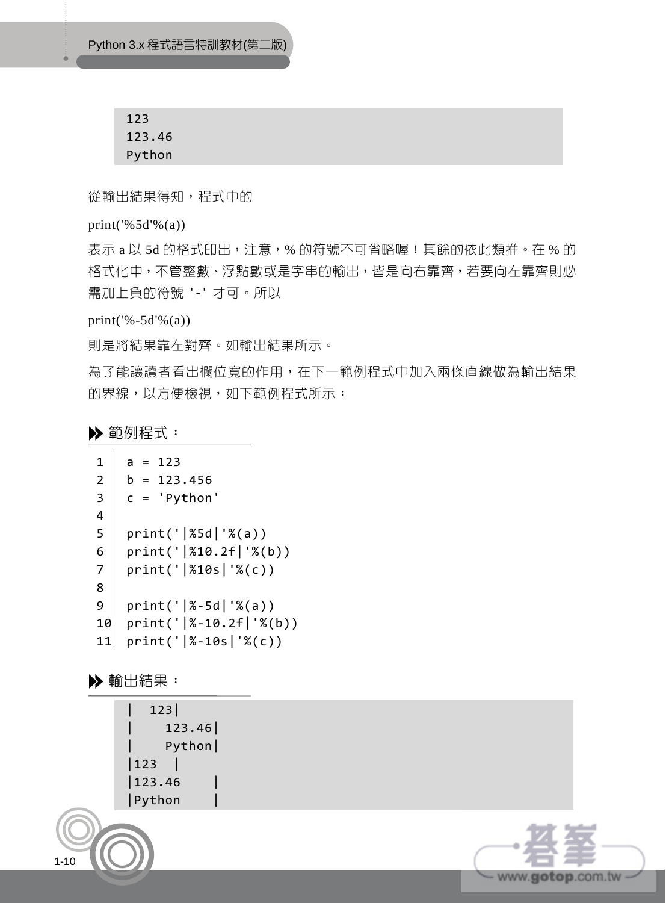Python 3.x 程式語言特訓教材(第二版)

123 123.46 Python

從輸出結果得知,程式中的

print('%5d'% $(a)$ )

表示 a 以 5d 的格式印出,注意,% 的符號不可省略喔!其餘的依此類推。在 % 的 格式化中,不管整數、浮點數或是字串的輸出,皆是向右靠齊,若要向左靠齊則必 需加上負的符號 '-' 才可。所以

print('%-5d'%(a))

則是將結果靠左對齊。如輸出結果所示。

為了能讓讀者看出欄位寬的作用,在下一範例程式中加入兩條直線做為輸出結果 的界線,以方便檢視,如下範例程式所示:

範例程式:

```
1 
2 
3 
4 
5 
6 
7 
8 
9 
10 
11 
print('|%-10s|'%(c)) 
    a = 123b = 123.456c = 'Python' 
   print('|%5d|'%(a)) 
    print('|%10.2f|'%(b)) 
   print('|%10s|'%(c)) 
   print('|%-5d|'%(a)) 
   print('|%-10.2f|'%(b))
```
輸出結果:

1-10

| 123| | 123.46| | Python|  $|123|$ |123.46 | |Python |

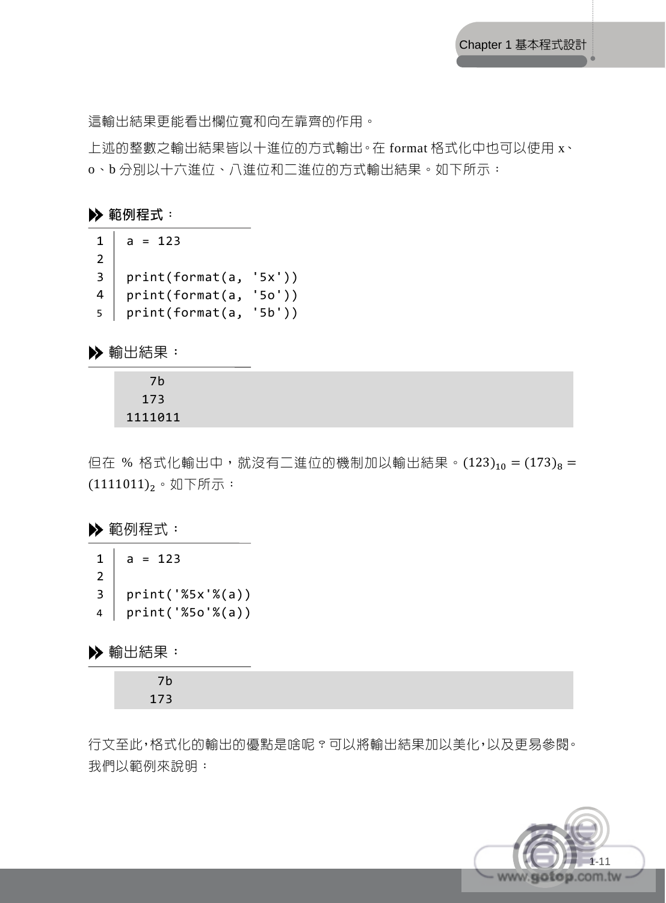這輸出結果更能看出欄位寬和向左靠齊的作用。

上述的整數之輸出結果皆以十進位的方式輸出。在 format 格式化中也可以使用 x、 o、b 分別以十六進位、八進位和二進位的方式輸出結果。如下所示:

#### 範例程式:

1 2 3 4 5 print(format(a, '5b'))  $a = 123$ print(format(a, '5x')) print(format(a, '5o'))

輸出結果:

$$
\begin{array}{c} 7b \\ 173 \\ 1111011 \end{array}
$$

但在 % 格式化輸出中,就沒有二進位的機制加以輸出結果。(123)<sub>10</sub> = (173)<sub>8</sub> =  $(1111011)$ <sub>2</sub>。如下所示:

範例程式:

1 2 3 4  $a = 123$ print('%5x'%(a)) print('%5o'%(a))

輸出結果:

行文至此,格式化的輸出的優點是啥呢?可以將輸出結果加以美化,以及更易參閱。 我們以範例來說明:

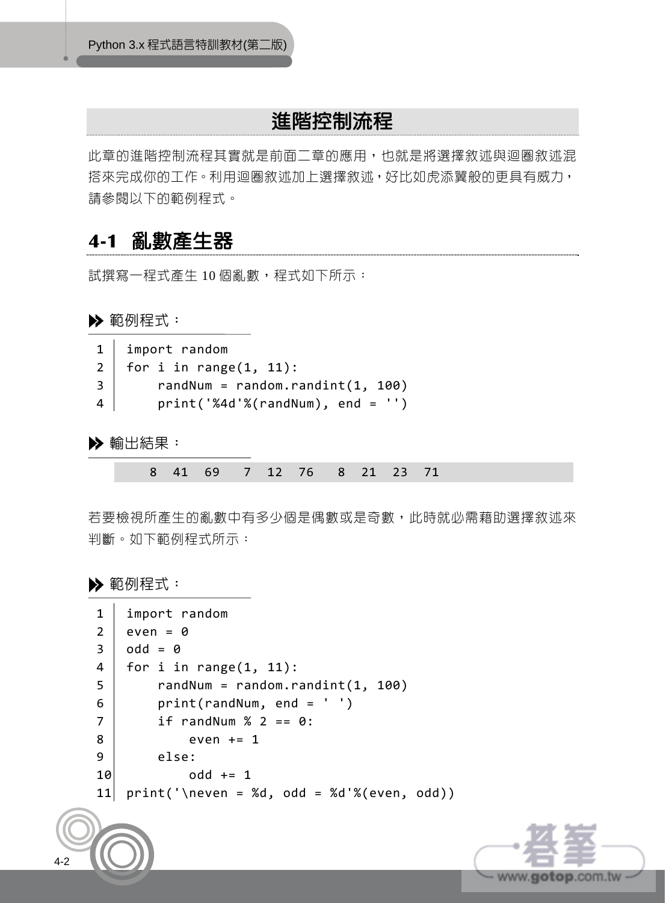# 進階控制流程

此章的進階控制流程其實就是前面二章的應用,也就是將選擇敘述與迴圈敘述混 搭來完成你的工作。利用迴圈敘述加上選擇敘述,好比如虎添翼般的更具有威力, 請參閱以下的範例程式。

### **4-1** 亂數產生器

試撰寫一程式產生 10 個亂數,程式如下所示:

▶ 範例程式:

|   | $1$ import random                        |
|---|------------------------------------------|
|   | $2$ for i in range $(1, 11)$ :           |
|   | randNum = random.randint $(1, 100)$<br>3 |
| 4 | $print('%4d'%(randNum), end = '')$       |

▶ 輸出結果:

|  |  |  |  |  | 8 41 69 7 12 76 8 21 23 71 |  |  |  |  |  |
|--|--|--|--|--|----------------------------|--|--|--|--|--|
|--|--|--|--|--|----------------------------|--|--|--|--|--|

若要檢視所產生的亂數中有多少個是偶數或是奇數,此時就必需藉助選擇敘述來 判斷。如下範例程式所示:

#### ▶ 範例程式:

| 1              | import random                            |
|----------------|------------------------------------------|
| $\overline{2}$ | $even = 0$                               |
| $\overline{3}$ | $odd = 0$                                |
| $\overline{4}$ | for i in range $(1, 11)$ :               |
| 5              | $random = random.random(1, 100)$         |
| 6              | $print(randNum, end = '')$               |
| $\overline{7}$ | if randNum $% 2 == 0$ :                  |
| 8              | even $+= 1$                              |
| 9              | else:                                    |
| 10             | $odd += 1$                               |
| 11             | $print('\neq 3d, odd = %d'*(even, odd))$ |
|                |                                          |

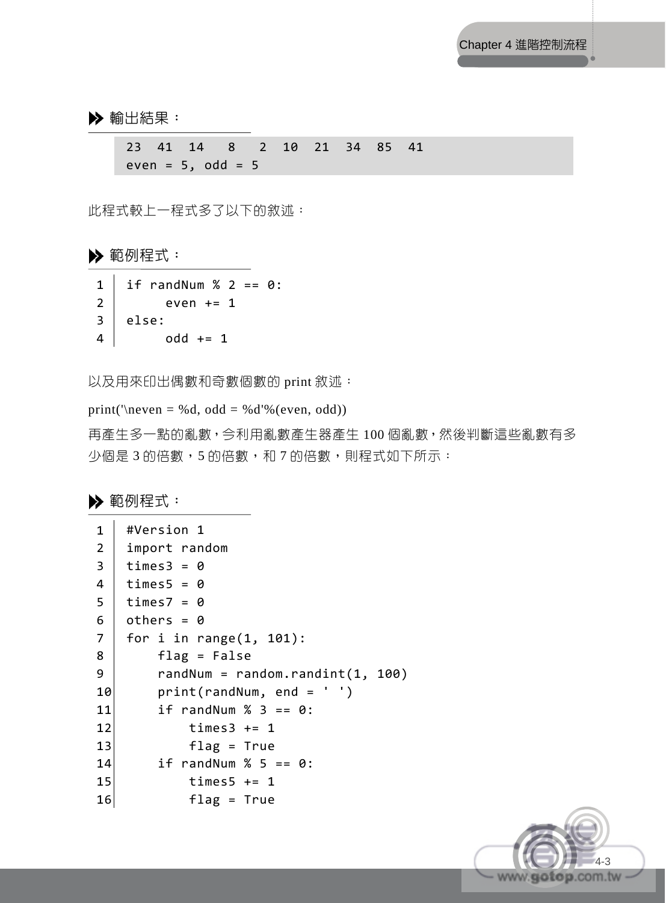23 41 14 8 2 10 21 34 85 41  $even = 5, odd = 5$ 

此程式較上一程式多了以下的敘述:

▶ 範例程式:

|          | 1   if randNum % 2 == 0: |
|----------|--------------------------|
| $2 \mid$ | even += 1                |
|          | $3  $ else:              |
| 4        | $odd += 1$               |

以及用來印出偶數和奇數個數的 print 敘述:

print('\neven = %d, odd = %d'%(even, odd))

再產生多一點的亂數,今利用亂數產生器產生 100 個亂數,然後判斷這些亂數有多 少個是 3 的倍數,5 的倍數,利 7 的倍數,則程式如下所示:

▶ 範例程式:

```
1 
2 
3 
4 
5 
6 
7 
8 
9 
10 
11 
12 
13 
14 
15 
16 
    #Version 1 
   import random 
   times3 = 0times5 = 0times7 = 0others = 0for i in range(1, 101): 
        flag = False randNum = random.randint(1, 100) 
         print(randNum, end = ' ') 
        if randNum % 3 == 0:
            times3 + 1 flag = True 
        if randNum % 5 == 0:
            times5 + 1 flag = True
```
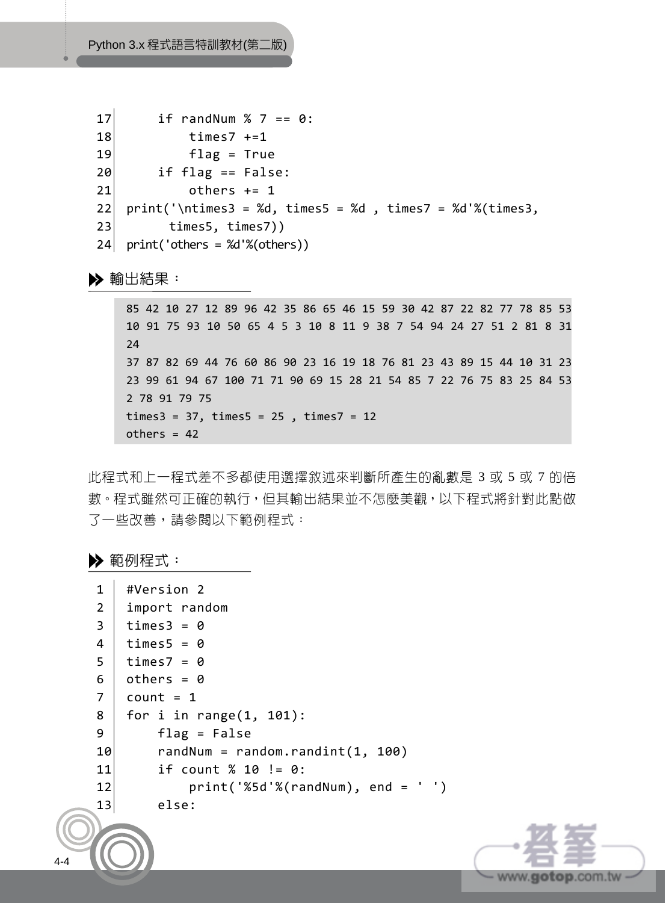```
17 
18 
19 
20 
21 
22 
23 
24 
print('others = %d'%(others)) 
         if randNum % 7 == 0:
             times7 + = 1 flag = True 
          if flag == False: 
             others += 1print('\ntimes3 = %d, times5 = %d , times7 = %d'%(times3,
           times5, times7))
```
85 42 10 27 12 89 96 42 35 86 65 46 15 59 30 42 87 22 82 77 78 85 53 10 91 75 93 10 50 65 4 5 3 10 8 11 9 38 7 54 94 24 27 51 2 81 8 31 24 37 87 82 69 44 76 60 86 90 23 16 19 18 76 81 23 43 89 15 44 10 31 23 23 99 61 94 67 100 71 71 90 69 15 28 21 54 85 7 22 76 75 83 25 84 53 2 78 91 79 75  $times3 = 37$ ,  $times5 = 25$ ,  $times7 = 12$  $others = 42$ 

此程式和上一程式差不多都使用選擇敘述來判斷所產生的亂數是 3 或 5 或 7 的倍 數。程式雖然可正確的執行,但其輸出結果並不怎麼美觀,以下程式將針對此點做 了一些改善,請參閱以下範例程式:

▶ 範例程式:

4-4

```
1 
2 
3 
4 
5 
6 
7 
8 
9 
10 
11 
12 
13 
    #Version 2 
   import random 
   times3 = 0times5 = 0times7 = 0others = 0count = 1for i in range(1, 101):
         flag = False 
         randNum = random.randint(1, 100) 
         if count % 10 != 0: 
              print('%5d'%(randNum), end = ' ') 
         else:
```
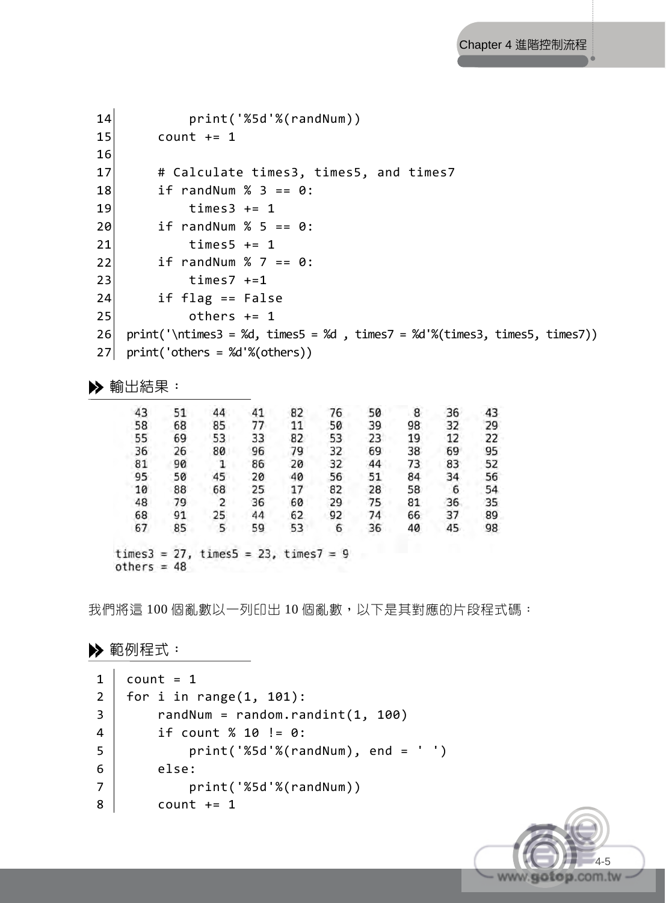```
14 
15 
16 
17 
18 
19 
20 
21 
22 
23 
24 
25 
26 
27 
              print('%5d'%(randNum)) 
         count += 1 # Calculate times3, times5, and times7 
         if randNum % 3 == 0:
             times3 + 1if randNum % 5 == 0:
             times5 += 1
         if randNum % 7 == 0:
              times7 +=1 
          if flag == False 
             others += 1print('\ntimes3 = %d, times5 = %d, times7 = %d'%(times3, times5, times7))
    print('others = %d'%(others))
```

| 43 | 51                                             | 44 | 41 | 82 | 76 | 50 | 8  | 36 | 43 |
|----|------------------------------------------------|----|----|----|----|----|----|----|----|
| 58 | 68                                             | 85 | 77 | 11 | 50 | 39 | 98 | 32 | 29 |
| 55 | 69                                             | 53 | 33 | 82 | 53 | 23 | 19 | 12 | 22 |
| 36 | 26                                             | 80 | 96 | 79 | 32 | 69 | 38 | 69 | 95 |
| 81 | 90                                             | 1  | 86 | 20 | 32 | 44 | 73 | 83 | 52 |
| 95 | 50                                             | 45 | 20 | 40 | 56 | 51 | 84 | 34 | 56 |
| 10 | 88                                             | 68 | 25 | 17 | 82 | 28 | 58 | 6  | 54 |
| 48 | 79                                             | 2  | 36 | 60 | 29 | 75 | 81 | 36 | 35 |
| 68 | 91                                             | 25 | 44 | 62 | 92 | 74 | 66 | 37 | 89 |
| 67 | 85                                             | 5  | 59 | 53 | 6  | 36 | 40 | 45 | 98 |
|    | $times3 = 27$ , times $5 = 23$ , times $7 = 9$ |    |    |    |    |    |    |    |    |

我們將這 100 個亂數以一列印出 10 個亂數,以下是其對應的片段程式碼:

#### ▶ 範例程式:

 $others = 48$ 

```
1 
2 
3 
4 
5 
6 
7 
8 
    count = 1for i in range(1, 101):
        randNum = random.random(1, 100) if count % 10 != 0: 
              print('%5d'%(randNum), end = ' ') 
         else: 
              print('%5d'%(randNum)) 
        count += 1
```
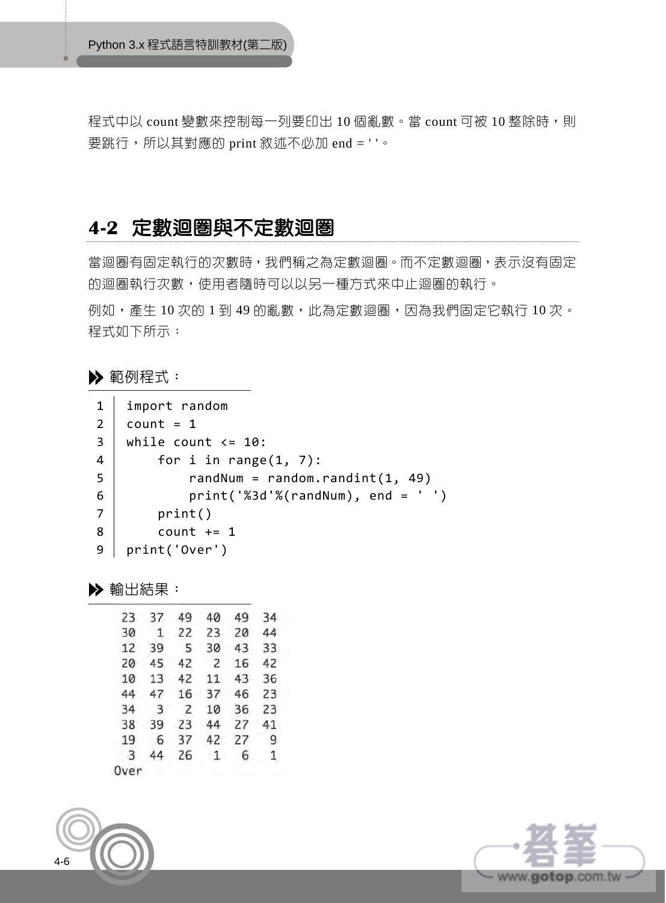程式中以 count 變數來控制每一列要印出 10 個亂數。當 count 可被 10 整除時,則 要跳行,所以其對應的 print 敘述不必加 end = ' '。

# **4-2** 定數迴圈與不定數迴圈

當迴圈有固定執行的次數時,我們稱之為定數迴圈。而不定數迴圈,表示沒有固定 的迴圈執行次數,使用者隨時可以以另一種方式來中止迴圈的執行。 例如,產生 10 次的 1 到 49 的亂數,此為定數迴圈,因為我們固定它執行 10 次。 程式如下所示:

範例程式:

| 1              | import random                        |
|----------------|--------------------------------------|
| $\overline{2}$ | $count = 1$                          |
| 3              | while count $\leq 10$ :              |
| $\overline{4}$ | for i in range $(1, 7)$ :            |
| -5             | randNum = random.randint $(1, 49)$   |
| 6              | $print('%3d'%(randNum), end = ' '')$ |
| 7              | print()                              |
| 8              | $count += 1$                         |
| 9              | print('Over')                        |
|                |                                      |

輸出結果:

| 23             | 37                      | 49             | 40           | 49 | 34           |
|----------------|-------------------------|----------------|--------------|----|--------------|
| 30             | 1                       | 22             | 23           | 20 | 44           |
| 12             | 39                      | 5              | 30           | 43 | 33           |
| 20             | 45                      |                | 42 2         | 16 | 42           |
| 10             | 13                      | 42             | 11           | 43 | 36           |
| 44             | 47                      | 16             | 37           | 46 | 23           |
| 34             | $\overline{\mathbf{3}}$ | $\overline{2}$ | 10           | 36 | 23           |
| 38             | 39                      | 23             | 44           | 27 | 41           |
| 19             | 6                       | 37             | 42           | 27 | 9            |
| $\overline{3}$ | 44                      | 26             | $\mathbf{1}$ | 6  | $\mathbf{1}$ |
| Over           |                         |                |              |    |              |